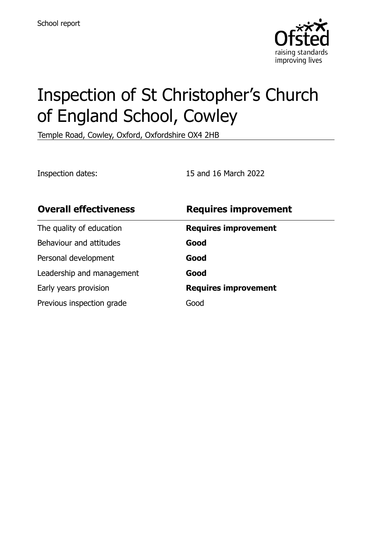

# Inspection of St Christopher's Church of England School, Cowley

Temple Road, Cowley, Oxford, Oxfordshire OX4 2HB

Inspection dates: 15 and 16 March 2022

| <b>Overall effectiveness</b> | <b>Requires improvement</b> |
|------------------------------|-----------------------------|
| The quality of education     | <b>Requires improvement</b> |
| Behaviour and attitudes      | Good                        |
| Personal development         | Good                        |
| Leadership and management    | Good                        |
| Early years provision        | <b>Requires improvement</b> |
| Previous inspection grade    | Good                        |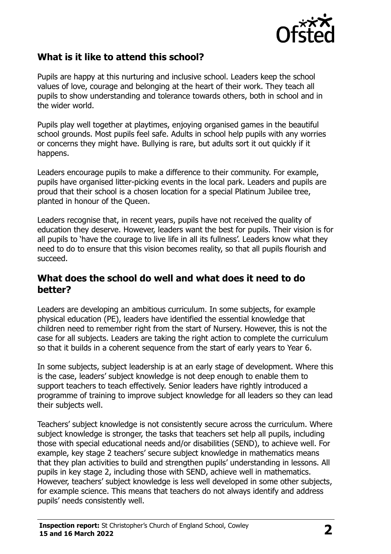

## **What is it like to attend this school?**

Pupils are happy at this nurturing and inclusive school. Leaders keep the school values of love, courage and belonging at the heart of their work. They teach all pupils to show understanding and tolerance towards others, both in school and in the wider world.

Pupils play well together at playtimes, enjoying organised games in the beautiful school grounds. Most pupils feel safe. Adults in school help pupils with any worries or concerns they might have. Bullying is rare, but adults sort it out quickly if it happens.

Leaders encourage pupils to make a difference to their community. For example, pupils have organised litter-picking events in the local park. Leaders and pupils are proud that their school is a chosen location for a special Platinum Jubilee tree, planted in honour of the Queen.

Leaders recognise that, in recent years, pupils have not received the quality of education they deserve. However, leaders want the best for pupils. Their vision is for all pupils to 'have the courage to live life in all its fullness'. Leaders know what they need to do to ensure that this vision becomes reality, so that all pupils flourish and succeed.

#### **What does the school do well and what does it need to do better?**

Leaders are developing an ambitious curriculum. In some subjects, for example physical education (PE), leaders have identified the essential knowledge that children need to remember right from the start of Nursery. However, this is not the case for all subjects. Leaders are taking the right action to complete the curriculum so that it builds in a coherent sequence from the start of early years to Year 6.

In some subjects, subject leadership is at an early stage of development. Where this is the case, leaders' subject knowledge is not deep enough to enable them to support teachers to teach effectively. Senior leaders have rightly introduced a programme of training to improve subject knowledge for all leaders so they can lead their subjects well.

Teachers' subject knowledge is not consistently secure across the curriculum. Where subject knowledge is stronger, the tasks that teachers set help all pupils, including those with special educational needs and/or disabilities (SEND), to achieve well. For example, key stage 2 teachers' secure subject knowledge in mathematics means that they plan activities to build and strengthen pupils' understanding in lessons. All pupils in key stage 2, including those with SEND, achieve well in mathematics. However, teachers' subject knowledge is less well developed in some other subjects, for example science. This means that teachers do not always identify and address pupils' needs consistently well.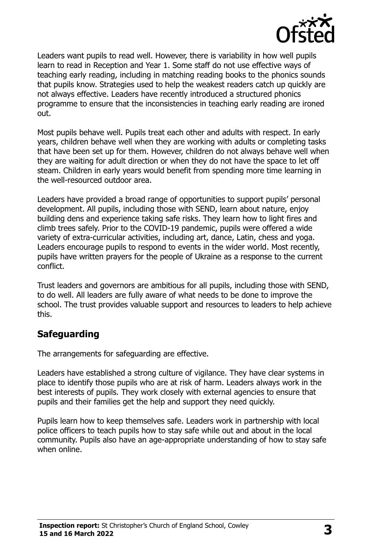

Leaders want pupils to read well. However, there is variability in how well pupils learn to read in Reception and Year 1. Some staff do not use effective ways of teaching early reading, including in matching reading books to the phonics sounds that pupils know. Strategies used to help the weakest readers catch up quickly are not always effective. Leaders have recently introduced a structured phonics programme to ensure that the inconsistencies in teaching early reading are ironed out.

Most pupils behave well. Pupils treat each other and adults with respect. In early years, children behave well when they are working with adults or completing tasks that have been set up for them. However, children do not always behave well when they are waiting for adult direction or when they do not have the space to let off steam. Children in early years would benefit from spending more time learning in the well-resourced outdoor area.

Leaders have provided a broad range of opportunities to support pupils' personal development. All pupils, including those with SEND, learn about nature, enjoy building dens and experience taking safe risks. They learn how to light fires and climb trees safely. Prior to the COVID-19 pandemic, pupils were offered a wide variety of extra-curricular activities, including art, dance, Latin, chess and yoga. Leaders encourage pupils to respond to events in the wider world. Most recently, pupils have written prayers for the people of Ukraine as a response to the current conflict.

Trust leaders and governors are ambitious for all pupils, including those with SEND, to do well. All leaders are fully aware of what needs to be done to improve the school. The trust provides valuable support and resources to leaders to help achieve this.

## **Safeguarding**

The arrangements for safeguarding are effective.

Leaders have established a strong culture of vigilance. They have clear systems in place to identify those pupils who are at risk of harm. Leaders always work in the best interests of pupils. They work closely with external agencies to ensure that pupils and their families get the help and support they need quickly.

Pupils learn how to keep themselves safe. Leaders work in partnership with local police officers to teach pupils how to stay safe while out and about in the local community. Pupils also have an age-appropriate understanding of how to stay safe when online.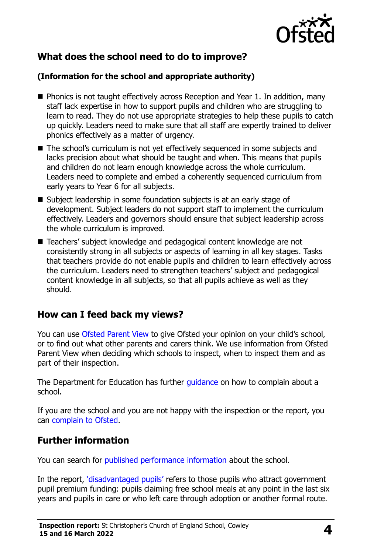

## **What does the school need to do to improve?**

#### **(Information for the school and appropriate authority)**

- **Phonics is not taught effectively across Reception and Year 1. In addition, many** staff lack expertise in how to support pupils and children who are struggling to learn to read. They do not use appropriate strategies to help these pupils to catch up quickly. Leaders need to make sure that all staff are expertly trained to deliver phonics effectively as a matter of urgency.
- The school's curriculum is not yet effectively sequenced in some subjects and lacks precision about what should be taught and when. This means that pupils and children do not learn enough knowledge across the whole curriculum. Leaders need to complete and embed a coherently sequenced curriculum from early years to Year 6 for all subjects.
- Subject leadership in some foundation subjects is at an early stage of development. Subject leaders do not support staff to implement the curriculum effectively. Leaders and governors should ensure that subject leadership across the whole curriculum is improved.
- Teachers' subject knowledge and pedagogical content knowledge are not consistently strong in all subjects or aspects of learning in all key stages. Tasks that teachers provide do not enable pupils and children to learn effectively across the curriculum. Leaders need to strengthen teachers' subject and pedagogical content knowledge in all subjects, so that all pupils achieve as well as they should.

### **How can I feed back my views?**

You can use [Ofsted Parent View](http://parentview.ofsted.gov.uk/) to give Ofsted your opinion on your child's school, or to find out what other parents and carers think. We use information from Ofsted Parent View when deciding which schools to inspect, when to inspect them and as part of their inspection.

The Department for Education has further *quidance* on how to complain about a school.

If you are the school and you are not happy with the inspection or the report, you can [complain to Ofsted.](http://www.gov.uk/complain-ofsted-report)

### **Further information**

You can search for [published performance information](http://www.compare-school-performance.service.gov.uk/) about the school.

In the report, '[disadvantaged pupils](http://www.gov.uk/guidance/pupil-premium-information-for-schools-and-alternative-provision-settings)' refers to those pupils who attract government pupil premium funding: pupils claiming free school meals at any point in the last six years and pupils in care or who left care through adoption or another formal route.

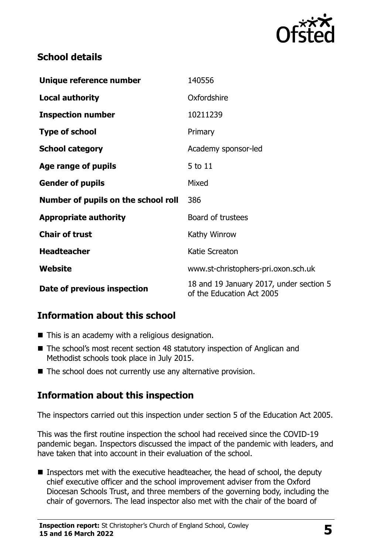

## **School details**

| Unique reference number             | 140556                                                               |  |
|-------------------------------------|----------------------------------------------------------------------|--|
| <b>Local authority</b>              | Oxfordshire                                                          |  |
| <b>Inspection number</b>            | 10211239                                                             |  |
| <b>Type of school</b>               | Primary                                                              |  |
| <b>School category</b>              | Academy sponsor-led                                                  |  |
| Age range of pupils                 | 5 to 11                                                              |  |
| <b>Gender of pupils</b>             | Mixed                                                                |  |
| Number of pupils on the school roll | 386                                                                  |  |
| <b>Appropriate authority</b>        | Board of trustees                                                    |  |
| <b>Chair of trust</b>               | Kathy Winrow                                                         |  |
| <b>Headteacher</b>                  | Katie Screaton                                                       |  |
| Website                             | www.st-christophers-pri.oxon.sch.uk                                  |  |
| Date of previous inspection         | 18 and 19 January 2017, under section 5<br>of the Education Act 2005 |  |

## **Information about this school**

- $\blacksquare$  This is an academy with a religious designation.
- The school's most recent section 48 statutory inspection of Anglican and Methodist schools took place in July 2015.
- $\blacksquare$  The school does not currently use any alternative provision.

## **Information about this inspection**

The inspectors carried out this inspection under section 5 of the Education Act 2005.

This was the first routine inspection the school had received since the COVID-19 pandemic began. Inspectors discussed the impact of the pandemic with leaders, and have taken that into account in their evaluation of the school.

**Inspectors met with the executive headteacher, the head of school, the deputy** chief executive officer and the school improvement adviser from the Oxford Diocesan Schools Trust, and three members of the governing body, including the chair of governors. The lead inspector also met with the chair of the board of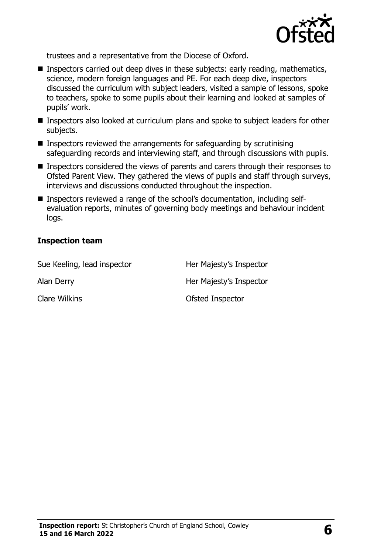

trustees and a representative from the Diocese of Oxford.

- Inspectors carried out deep dives in these subjects: early reading, mathematics, science, modern foreign languages and PE. For each deep dive, inspectors discussed the curriculum with subject leaders, visited a sample of lessons, spoke to teachers, spoke to some pupils about their learning and looked at samples of pupils' work.
- **Inspectors also looked at curriculum plans and spoke to subject leaders for other** subjects.
- $\blacksquare$  Inspectors reviewed the arrangements for safeguarding by scrutinising safeguarding records and interviewing staff, and through discussions with pupils.
- **Inspectors considered the views of parents and carers through their responses to** Ofsted Parent View. They gathered the views of pupils and staff through surveys, interviews and discussions conducted throughout the inspection.
- Inspectors reviewed a range of the school's documentation, including selfevaluation reports, minutes of governing body meetings and behaviour incident logs.

#### **Inspection team**

| Sue Keeling, lead inspector | Her Majesty's Inspector |
|-----------------------------|-------------------------|
| Alan Derry                  | Her Majesty's Inspector |
| Clare Wilkins               | Ofsted Inspector        |